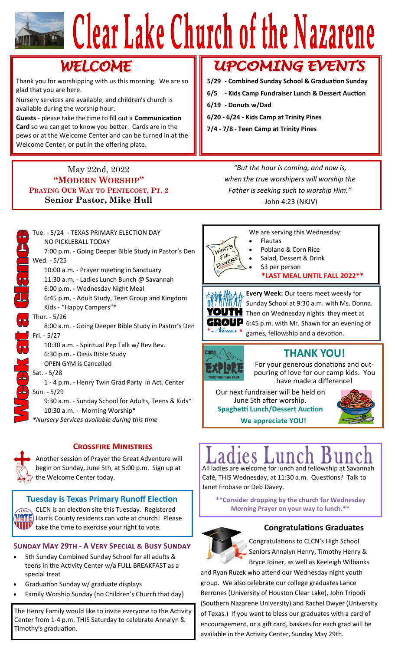# Clear Lake Church of the Nazarene

## WELCOME

Thank you for worshipping with us this morning. We are so glad that you are here.

Nursery services are available, and children's church is available during the worship hour.

**Guests** - please take the time to fill out a **Communication Card** so we can get to know you better. Cards are in the pews or at the Welcome Center and can be turned in at the Welcome Center, or put in the offering plate.

## May 22nd, 2022 **"MODERN WORSHIP" PRAYING OUR WAY TO PENTECOST, PT. 2 Senior Pastor, Mike Hull**

## **UPCOMING EVENTS**

- **5/29 - Combined Sunday School & Graduation Sunday**
- **6/5 - Kids Camp Fundraiser Lunch & Dessert Auction**
- **6/19 - Donuts w/Dad**
- **6/20 - 6/24 - Kids Camp at Trinity Pines**
- **7/4 - 7/8 - Teen Camp at Trinity Pines**

*"But the hour is coming, and now is, when the true worshipers will worship the Father is seeking such to worship Him."* -John 4:23 (NKJV)



## **Crossfire Ministries**



Another session of Prayer the Great Adventure will begin on Sunday, June 5th, at 5:00 p.m. Sign up at  $\lambda$  the Welcome Center today.

## **Tuesday is Texas Primary Runoff Election** CLCN is an election site this Tuesday. Registered  $\blacksquare$  Harris County residents can vote at church! Please **THE TE SAMPLE TENDENT TENDENT CONGRATIVE TENDENT CONGRATIVE TENDENT CONGRATIVE TENDENT CONGRATIVE TENDENT SERVIDE SERVIDE SERVIDE SERVIDE SERVIDE SERVIDE SERVIDE SERVIDE SERVIDE SERVIDE SERVIDE SERVIDE SERVIDE SERVIDE SER**

## **Sunday May 29th - A Very Special & Busy Sunday**

- 5th Sunday Combined Sunday School for all adults & teens in the Activity Center w/a FULL BREAKFAST as a special treat
- Graduation Sunday w/ graduate displays
- Family Worship Sunday (no Children's Church that day)

The Henry Family would like to invite everyone to the Activity Center from 1-4 p.m. THIS Saturday to celebrate Annalyn & Timothy's graduation.



We are serving this Wednesday:

- **Flautas** • Poblano & Corn Rice
- 
- Salad, Dessert & Drink \$3 per person
	- **\*LAST MEAL UNTIL FALL 2022\*\***

YOUTH GROUP Neuis <del>r</del>

**Every Week:** Our teens meet weekly for Sunday School at 9:30 a.m. with Ms. Donna. Then on Wednesday nights they meet at 6:45 p.m. with Mr. Shawn for an evening of games, fellowship and a devotion.



## **THANK YOU!**

For your generous donations and outpouring of love for our camp kids. You have made a difference!

**We appreciate YOU!** Our next fundraiser will be held on June 5th after worship. **Spaghetti Lunch/Dessert Auction**



## All ladies are welcome for lunch and fellowship at Savannah

Café, THIS Wednesday, at 11:30 a.m. Questions? Talk to Janet Frobase or Deb Davey.

**\*\*Consider dropping by the church for Wednesday Morning Prayer on your way to lunch.\*\***



Congratulations to CLCN's High School Seniors Annalyn Henry, Timothy Henry & Bryce Joiner, as well as Keeleigh Wilbanks

and Ryan Ruzek who attend our Wednesday night youth group. We also celebrate our college graduates Lance Berrones (University of Houston Clear Lake), John Tripodi (Southern Nazarene University) and Rachel Dwyer (University of Texas.) If you want to bless our graduates with a card of encouragement, or a gift card, baskets for each grad will be available in the Activity Center, Sunday May 29th.